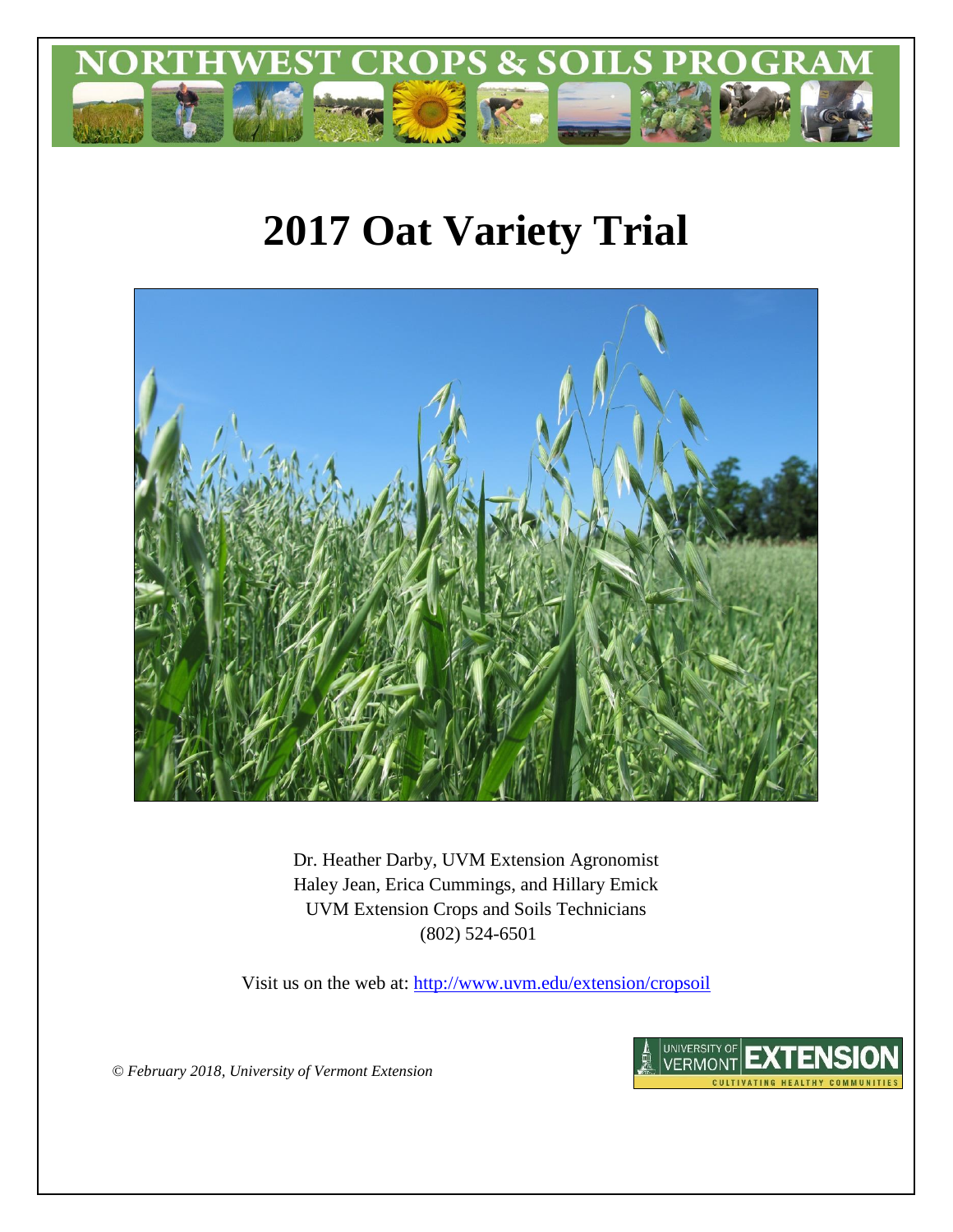

# **2017 Oat Variety Trial**



Dr. Heather Darby, UVM Extension Agronomist Haley Jean, Erica Cummings, and Hillary Emick UVM Extension Crops and Soils Technicians (802) 524-6501

Visit us on the web at:<http://www.uvm.edu/extension/cropsoil>



*© February 2018, University of Vermont Extension*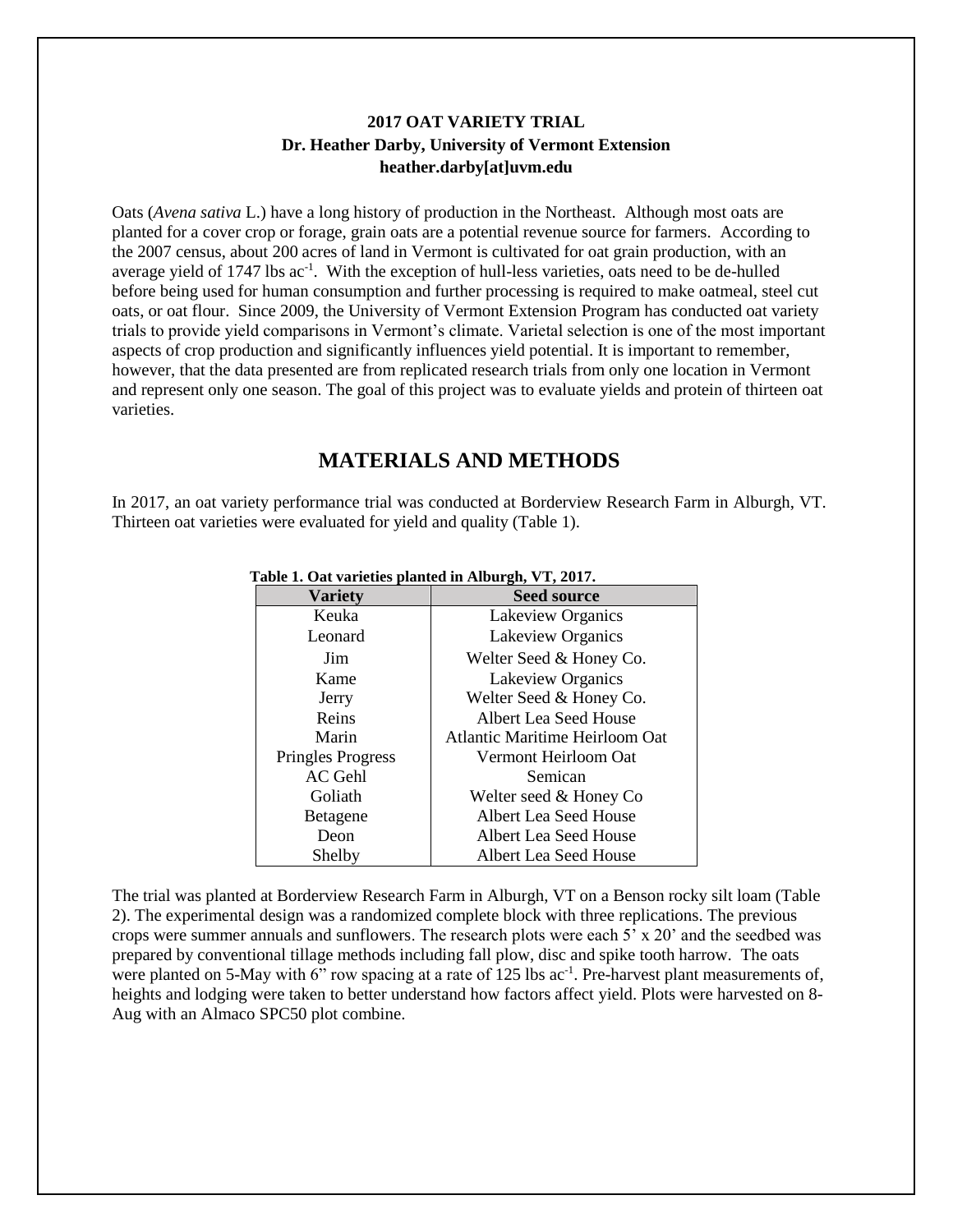## **2017 OAT VARIETY TRIAL Dr. Heather Darby, University of Vermont Extension heather.darby[at]uvm.edu**

Oats (*Avena sativa* L.) have a long history of production in the Northeast. Although most oats are planted for a cover crop or forage, grain oats are a potential revenue source for farmers. According to the 2007 census, about 200 acres of land in Vermont is cultivated for oat grain production, with an average yield of 1747 lbs ac<sup>-1</sup>. With the exception of hull-less varieties, oats need to be de-hulled before being used for human consumption and further processing is required to make oatmeal, steel cut oats, or oat flour. Since 2009, the University of Vermont Extension Program has conducted oat variety trials to provide yield comparisons in Vermont's climate. Varietal selection is one of the most important aspects of crop production and significantly influences yield potential. It is important to remember, however, that the data presented are from replicated research trials from only one location in Vermont and represent only one season. The goal of this project was to evaluate yields and protein of thirteen oat varieties.

## **MATERIALS AND METHODS**

In 2017, an oat variety performance trial was conducted at Borderview Research Farm in Alburgh, VT. Thirteen oat varieties were evaluated for yield and quality (Table 1).

| <b>Variety</b>           | <b>Seed source</b>             |  |
|--------------------------|--------------------------------|--|
| Keuka                    | Lakeview Organics              |  |
| Leonard                  | Lakeview Organics              |  |
| Jim                      | Welter Seed & Honey Co.        |  |
| Kame                     | Lakeview Organics              |  |
| Jerry                    | Welter Seed & Honey Co.        |  |
| Reins                    | Albert Lea Seed House          |  |
| Marin                    | Atlantic Maritime Heirloom Oat |  |
| <b>Pringles Progress</b> | Vermont Heirloom Oat           |  |
| AC Gehl                  | Semican                        |  |
| Goliath                  | Welter seed & Honey Co         |  |
| Betagene                 | Albert Lea Seed House          |  |
| Deon                     | Albert Lea Seed House          |  |
| Shelby                   | Albert Lea Seed House          |  |

 **Table 1. Oat varieties planted in Alburgh, VT, 2017.**

The trial was planted at Borderview Research Farm in Alburgh, VT on a Benson rocky silt loam (Table 2). The experimental design was a randomized complete block with three replications. The previous crops were summer annuals and sunflowers. The research plots were each 5' x 20' and the seedbed was prepared by conventional tillage methods including fall plow, disc and spike tooth harrow. The oats were planted on 5-May with 6" row spacing at a rate of 125 lbs ac<sup>-1</sup>. Pre-harvest plant measurements of, heights and lodging were taken to better understand how factors affect yield. Plots were harvested on 8- Aug with an Almaco SPC50 plot combine.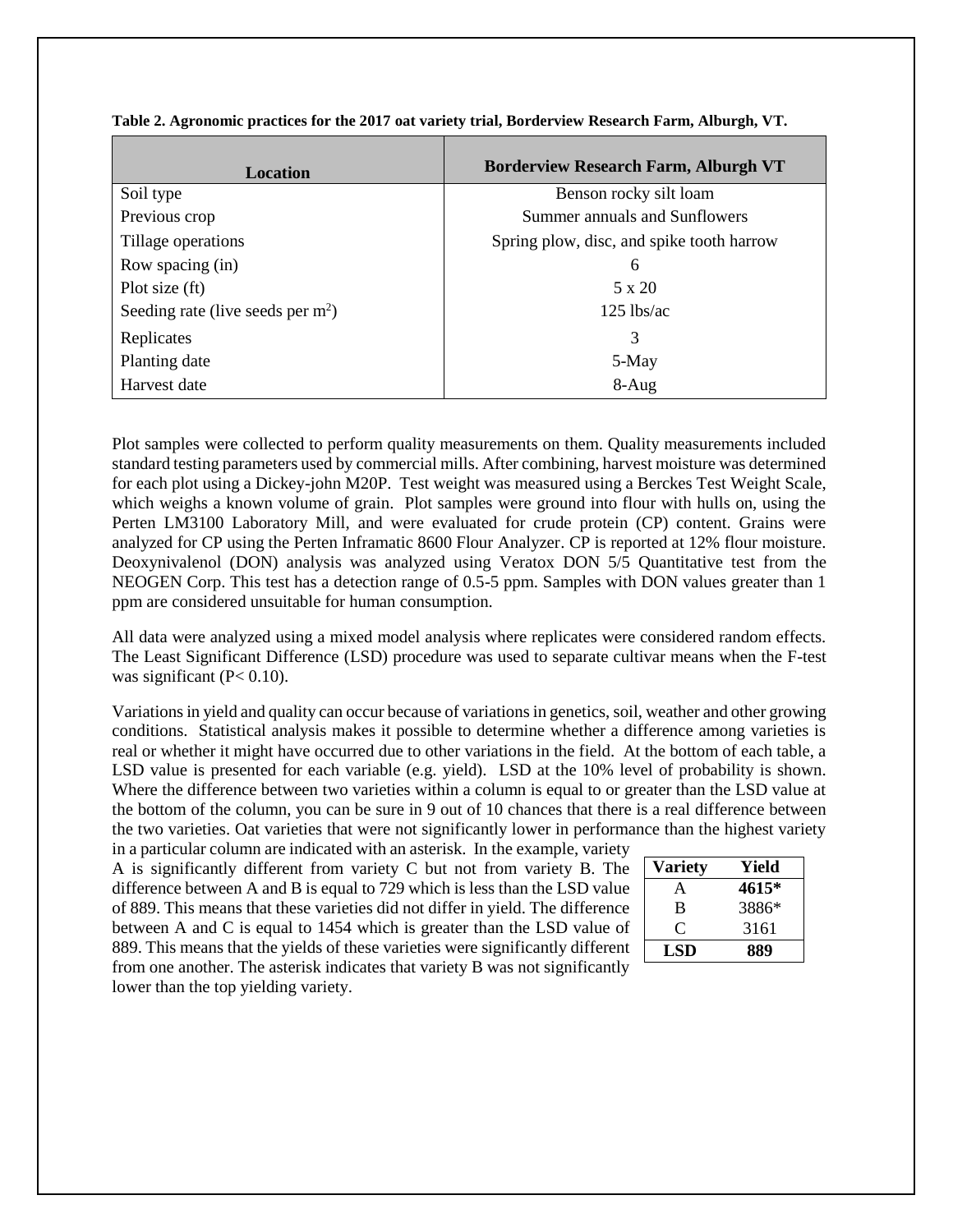| Location                            | <b>Borderview Research Farm, Alburgh VT</b> |  |  |
|-------------------------------------|---------------------------------------------|--|--|
| Soil type                           | Benson rocky silt loam                      |  |  |
| Previous crop                       | Summer annuals and Sunflowers               |  |  |
| Tillage operations                  | Spring plow, disc, and spike tooth harrow   |  |  |
| Row spacing (in)                    | 6                                           |  |  |
| Plot size (ft)                      | $5 \times 20$                               |  |  |
| Seeding rate (live seeds per $m2$ ) | $125$ lbs/ac                                |  |  |
| Replicates                          | 3                                           |  |  |
| Planting date                       | 5-May                                       |  |  |
| Harvest date                        | $8-Aug$                                     |  |  |

**Table 2. Agronomic practices for the 2017 oat variety trial, Borderview Research Farm, Alburgh, VT.**

Plot samples were collected to perform quality measurements on them. Quality measurements included standard testing parameters used by commercial mills. After combining, harvest moisture was determined for each plot using a Dickey-john M20P. Test weight was measured using a Berckes Test Weight Scale, which weighs a known volume of grain. Plot samples were ground into flour with hulls on, using the Perten LM3100 Laboratory Mill, and were evaluated for crude protein (CP) content. Grains were analyzed for CP using the Perten Inframatic 8600 Flour Analyzer. CP is reported at 12% flour moisture. Deoxynivalenol (DON) analysis was analyzed using Veratox DON 5/5 Quantitative test from the NEOGEN Corp. This test has a detection range of 0.5-5 ppm. Samples with DON values greater than 1 ppm are considered unsuitable for human consumption.

All data were analyzed using a mixed model analysis where replicates were considered random effects. The Least Significant Difference (LSD) procedure was used to separate cultivar means when the F-test was significant  $(P< 0.10)$ .

Variations in yield and quality can occur because of variations in genetics, soil, weather and other growing conditions. Statistical analysis makes it possible to determine whether a difference among varieties is real or whether it might have occurred due to other variations in the field. At the bottom of each table, a LSD value is presented for each variable (e.g. yield). LSD at the 10% level of probability is shown. Where the difference between two varieties within a column is equal to or greater than the LSD value at the bottom of the column, you can be sure in 9 out of 10 chances that there is a real difference between the two varieties. Oat varieties that were not significantly lower in performance than the highest variety

in a particular column are indicated with an asterisk. In the example, variety A is significantly different from variety C but not from variety B. The difference between A and B is equal to 729 which is less than the LSD value of 889. This means that these varieties did not differ in yield. The difference between A and C is equal to 1454 which is greater than the LSD value of 889. This means that the yields of these varieties were significantly different from one another. The asterisk indicates that variety B was not significantly lower than the top yielding variety.

| <b>Variety</b> | Yield |
|----------------|-------|
| A              | 4615* |
| B              | 3886* |
| €              | 3161  |
| LSD            | 889   |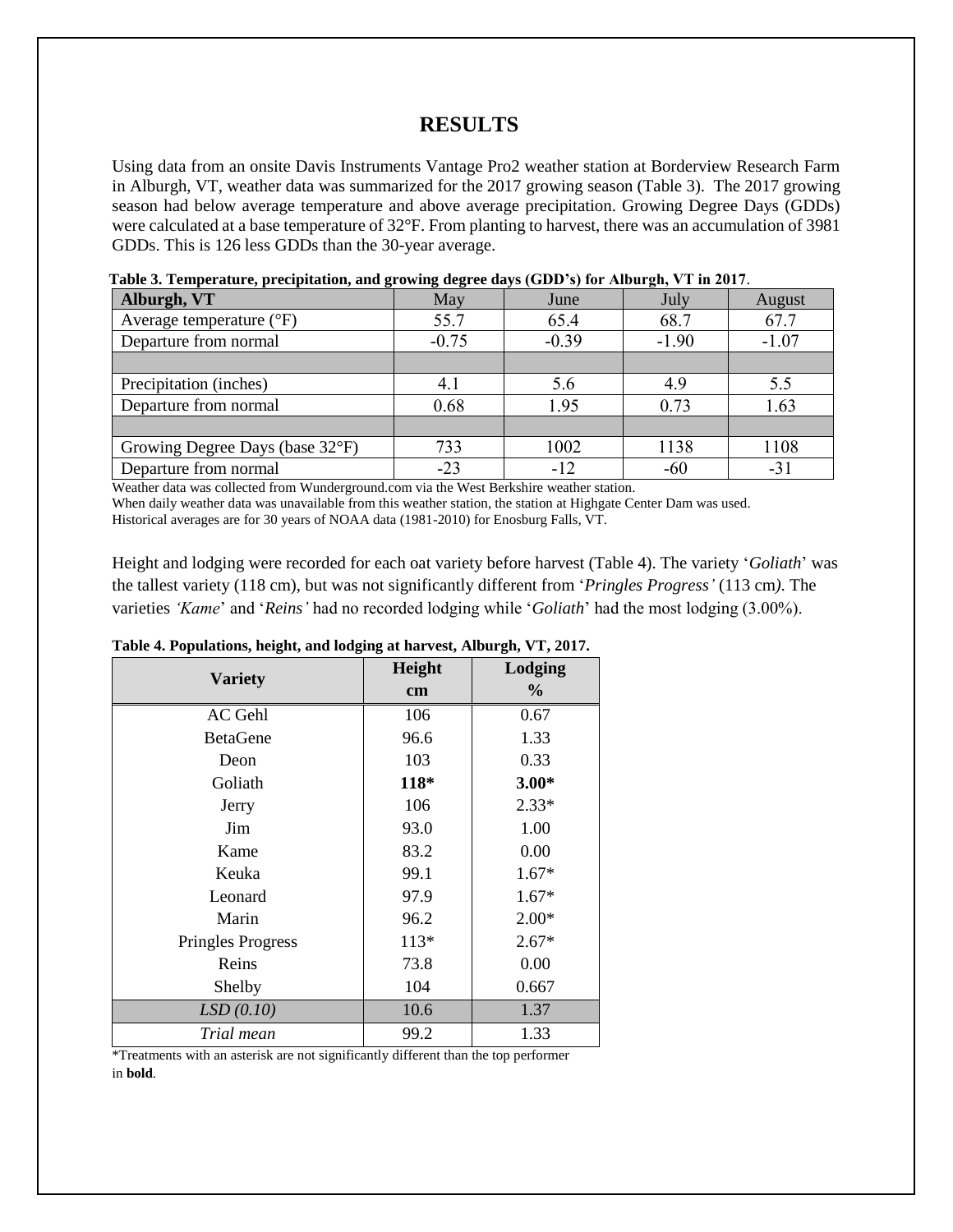## **RESULTS**

Using data from an onsite Davis Instruments Vantage Pro2 weather station at Borderview Research Farm in Alburgh, VT, weather data was summarized for the 2017 growing season (Table 3). The 2017 growing season had below average temperature and above average precipitation. Growing Degree Days (GDDs) were calculated at a base temperature of 32°F. From planting to harvest, there was an accumulation of 3981 GDDs. This is 126 less GDDs than the 30-year average.

| Alburgh, VT                       | May     | June    | July    | August  |
|-----------------------------------|---------|---------|---------|---------|
| Average temperature $(^{\circ}F)$ | 55.7    | 65.4    | 68.7    | 67.7    |
| Departure from normal             | $-0.75$ | $-0.39$ | $-1.90$ | $-1.07$ |
|                                   |         |         |         |         |
| Precipitation (inches)            |         | 5.6     | 4.9     | 5.5     |
| Departure from normal             | 0.68    | 1.95    | 0.73    | 1.63    |
|                                   |         |         |         |         |
| Growing Degree Days (base 32°F)   | 733     | 1002    | 1138    | 1108    |
| Departure from normal             | -23     | $-12$   | $-60$   | $-31$   |

**Table 3. Temperature, precipitation, and growing degree days (GDD's) for Alburgh, VT in 2017**.

Weather data was collected from Wunderground.com via the West Berkshire weather station.

When daily weather data was unavailable from this weather station, the station at Highgate Center Dam was used.

Historical averages are for 30 years of NOAA data (1981-2010) for Enosburg Falls, VT.

Height and lodging were recorded for each oat variety before harvest (Table 4). The variety '*Goliath*' was the tallest variety (118 cm), but was not significantly different from '*Pringles Progress'* (113 cm*)*. The varieties *'Kame*' and '*Reins'* had no recorded lodging while '*Goliath*' had the most lodging (3.00%).

| rable $\pi$ r eparations, neight, and loughly at har rest, rhourgh, $\tau$ r, 2017. |               |               |  |
|-------------------------------------------------------------------------------------|---------------|---------------|--|
| <b>Variety</b>                                                                      | Height        | Lodging       |  |
|                                                                                     | $\mathbf{cm}$ | $\frac{6}{9}$ |  |
| AC Gehl                                                                             | 106           | 0.67          |  |
| <b>BetaGene</b>                                                                     | 96.6          | 1.33          |  |
| Deon                                                                                | 103           | 0.33          |  |
| Goliath                                                                             | 118*          | $3.00*$       |  |
| Jerry                                                                               | 106           | $2.33*$       |  |
| Jim                                                                                 | 93.0          | 1.00          |  |
| Kame                                                                                | 83.2          | 0.00          |  |
| Keuka                                                                               | 99.1          | $1.67*$       |  |
| Leonard                                                                             | 97.9          | $1.67*$       |  |
| Marin                                                                               | 96.2          | $2.00*$       |  |
| <b>Pringles Progress</b>                                                            | $113*$        | $2.67*$       |  |
| Reins                                                                               | 73.8          | 0.00          |  |
| Shelby                                                                              | 104           | 0.667         |  |
| LSD(0.10)                                                                           | 10.6          | 1.37          |  |
| Trial mean                                                                          | 99.2          | 1.33          |  |

#### **Table 4. Populations, height, and lodging at harvest, Alburgh, VT, 2017.**

\*Treatments with an asterisk are not significantly different than the top performer in **bold**.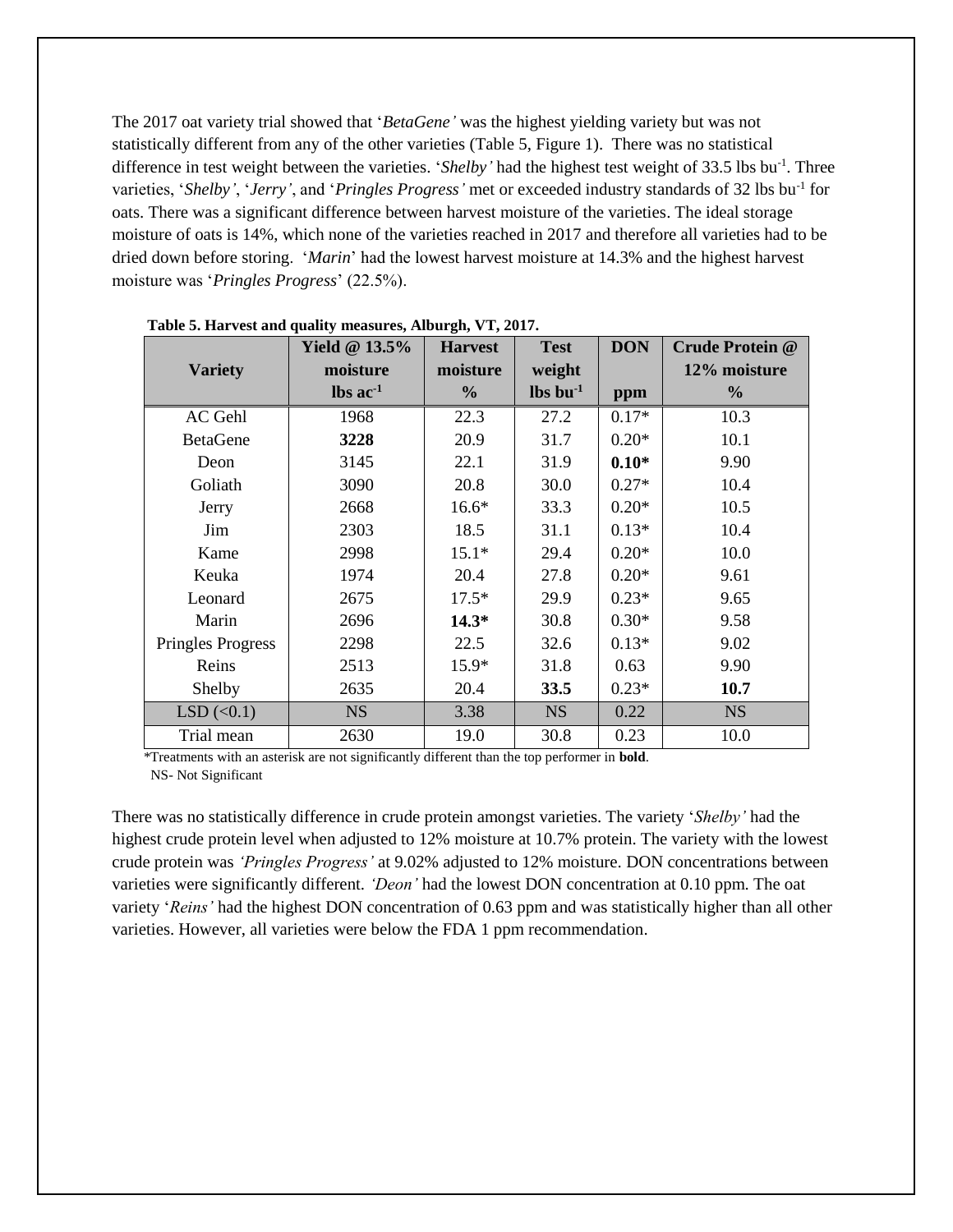The 2017 oat variety trial showed that '*BetaGene'* was the highest yielding variety but was not statistically different from any of the other varieties (Table 5, Figure 1). There was no statistical difference in test weight between the varieties. '*Shelby*' had the highest test weight of 33.5 lbs bu<sup>-1</sup>. Three varieties, '*Shelby'*, '*Jerry'*, and '*Pringles Progress'* met or exceeded industry standards of 32 lbs bu-1 for oats. There was a significant difference between harvest moisture of the varieties. The ideal storage moisture of oats is 14%, which none of the varieties reached in 2017 and therefore all varieties had to be dried down before storing. '*Marin*' had the lowest harvest moisture at 14.3% and the highest harvest moisture was '*Pringles Progress*' (22.5%).

|                          | Yield @ $13.5\%$              | <b>Harvest</b> | <b>Test</b>                    | <b>DON</b> | <b>Crude Protein @</b> |
|--------------------------|-------------------------------|----------------|--------------------------------|------------|------------------------|
| <b>Variety</b>           | moisture                      | moisture       | weight                         |            | 12% moisture           |
|                          | $\text{lbs}$ ac <sup>-1</sup> | $\frac{0}{0}$  | $\mathbf{lbs}\mathbf{bu}^{-1}$ | ppm        | $\frac{0}{0}$          |
| AC Gehl                  | 1968                          | 22.3           | 27.2                           | $0.17*$    | 10.3                   |
| <b>BetaGene</b>          | 3228                          | 20.9           | 31.7                           | $0.20*$    | 10.1                   |
| Deon                     | 3145                          | 22.1           | 31.9                           | $0.10*$    | 9.90                   |
| Goliath                  | 3090                          | 20.8           | 30.0                           | $0.27*$    | 10.4                   |
| Jerry                    | 2668                          | $16.6*$        | 33.3                           | $0.20*$    | 10.5                   |
| Jim                      | 2303                          | 18.5           | 31.1                           | $0.13*$    | 10.4                   |
| Kame                     | 2998                          | $15.1*$        | 29.4                           | $0.20*$    | 10.0                   |
| Keuka                    | 1974                          | 20.4           | 27.8                           | $0.20*$    | 9.61                   |
| Leonard                  | 2675                          | $17.5*$        | 29.9                           | $0.23*$    | 9.65                   |
| Marin                    | 2696                          | $14.3*$        | 30.8                           | $0.30*$    | 9.58                   |
| <b>Pringles Progress</b> | 2298                          | 22.5           | 32.6                           | $0.13*$    | 9.02                   |
| Reins                    | 2513                          | $15.9*$        | 31.8                           | 0.63       | 9.90                   |
| Shelby                   | 2635                          | 20.4           | 33.5                           | $0.23*$    | 10.7                   |
| LSD(<0.1)                | <b>NS</b>                     | 3.38           | <b>NS</b>                      | 0.22       | <b>NS</b>              |
| Trial mean               | 2630                          | 19.0           | 30.8                           | 0.23       | 10.0                   |

 **Table 5. Harvest and quality measures, Alburgh, VT, 2017.**

 \*Treatments with an asterisk are not significantly different than the top performer in **bold**. NS- Not Significant

There was no statistically difference in crude protein amongst varieties. The variety '*Shelby'* had the highest crude protein level when adjusted to 12% moisture at 10.7% protein. The variety with the lowest crude protein was *'Pringles Progress'* at 9.02% adjusted to 12% moisture. DON concentrations between varieties were significantly different. *'Deon'* had the lowest DON concentration at 0.10 ppm. The oat variety '*Reins'* had the highest DON concentration of 0.63 ppm and was statistically higher than all other varieties. However, all varieties were below the FDA 1 ppm recommendation.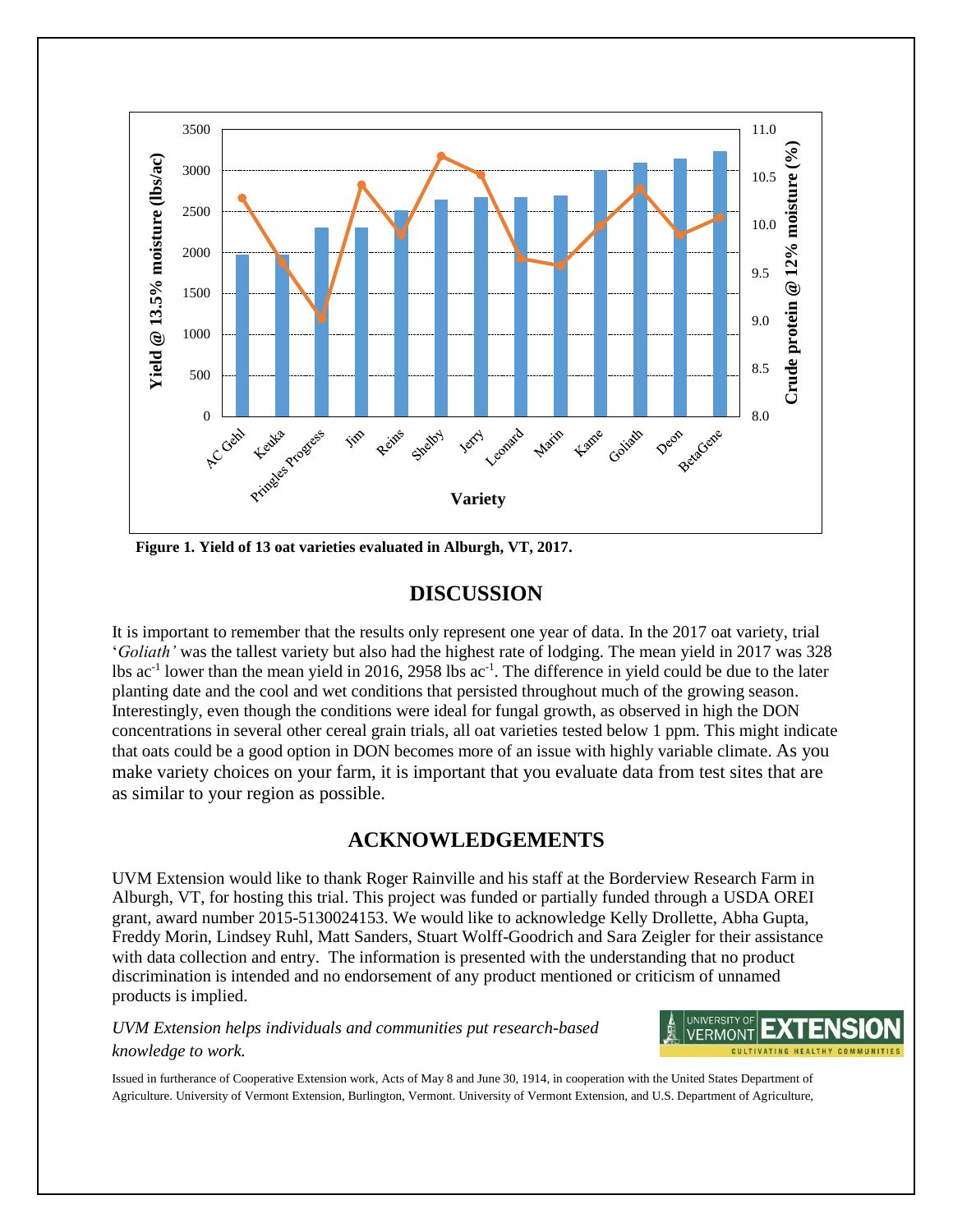

 **Figure 1. Yield of 13 oat varieties evaluated in Alburgh, VT, 2017.**

## **DISCUSSION**

It is important to remember that the results only represent one year of data. In the 2017 oat variety, trial '*Goliath'* was the tallest variety but also had the highest rate of lodging. The mean yield in 2017 was 328 lbs ac<sup>-1</sup> lower than the mean yield in 2016, 2958 lbs ac<sup>-1</sup>. The difference in yield could be due to the later planting date and the cool and wet conditions that persisted throughout much of the growing season. Interestingly, even though the conditions were ideal for fungal growth, as observed in high the DON concentrations in several other cereal grain trials, all oat varieties tested below 1 ppm. This might indicate that oats could be a good option in DON becomes more of an issue with highly variable climate. As you make variety choices on your farm, it is important that you evaluate data from test sites that are as similar to your region as possible.

# **ACKNOWLEDGEMENTS**

UVM Extension would like to thank Roger Rainville and his staff at the Borderview Research Farm in Alburgh, VT, for hosting this trial. This project was funded or partially funded through a USDA OREI grant, award number 2015-5130024153. We would like to acknowledge Kelly Drollette, Abha Gupta, Freddy Morin, Lindsey Ruhl, Matt Sanders, Stuart Wolff-Goodrich and Sara Zeigler for their assistance with data collection and entry. The information is presented with the understanding that no product discrimination is intended and no endorsement of any product mentioned or criticism of unnamed products is implied.

## *UVM Extension helps individuals and communities put research-based knowledge to work.*



Issued in furtherance of Cooperative Extension work, Acts of May 8 and June 30, 1914, in cooperation with the United States Department of Agriculture. University of Vermont Extension, Burlington, Vermont. University of Vermont Extension, and U.S. Department of Agriculture,